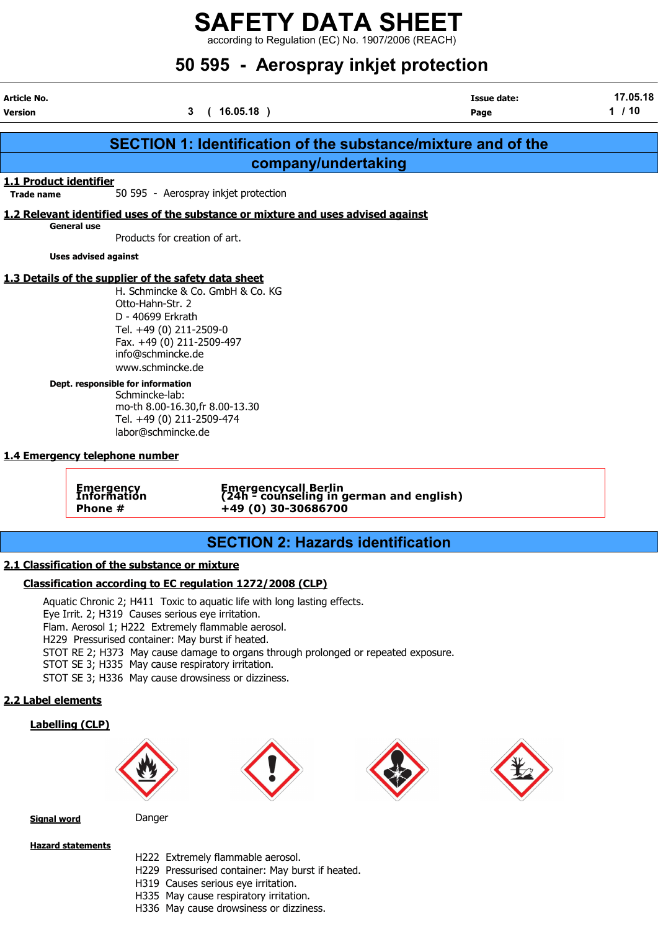$\frac{22}{1}$  according to Regulation (EC) No. 1907/2006 (REACH)

## 50 595 - Aerospray inkjet protection

| Article No.<br><b>Version</b>               |                                                                                                                                                                   | 3<br>(16.05.18)                                                                                                                                                                                                                                                            | <b>Issue date:</b><br>Page                                           | 17.05.18<br>1/10 |
|---------------------------------------------|-------------------------------------------------------------------------------------------------------------------------------------------------------------------|----------------------------------------------------------------------------------------------------------------------------------------------------------------------------------------------------------------------------------------------------------------------------|----------------------------------------------------------------------|------------------|
|                                             |                                                                                                                                                                   |                                                                                                                                                                                                                                                                            | <b>SECTION 1: Identification of the substance/mixture and of the</b> |                  |
|                                             |                                                                                                                                                                   | company/undertaking                                                                                                                                                                                                                                                        |                                                                      |                  |
| 1.1 Product identifier<br><b>Trade name</b> |                                                                                                                                                                   | 50 595 - Aerospray inkjet protection                                                                                                                                                                                                                                       |                                                                      |                  |
|                                             |                                                                                                                                                                   | 1.2 Relevant identified uses of the substance or mixture and uses advised against                                                                                                                                                                                          |                                                                      |                  |
|                                             | <b>General use</b><br>Products for creation of art.                                                                                                               |                                                                                                                                                                                                                                                                            |                                                                      |                  |
|                                             | <b>Uses advised against</b>                                                                                                                                       |                                                                                                                                                                                                                                                                            |                                                                      |                  |
|                                             | 1.3 Details of the supplier of the safety data sheet<br>Otto-Hahn-Str. 2<br>D - 40699 Erkrath<br>Tel. +49 (0) 211-2509-0<br>info@schmincke.de<br>www.schmincke.de | H. Schmincke & Co. GmbH & Co. KG<br>Fax. +49 (0) 211-2509-497                                                                                                                                                                                                              |                                                                      |                  |
|                                             | Dept. responsible for information<br>Schmincke-lab:<br>Tel. +49 (0) 211-2509-474<br>labor@schmincke.de<br>1.4 Emergency telephone number                          | mo-th 8.00-16.30, fr 8.00-13.30                                                                                                                                                                                                                                            |                                                                      |                  |
|                                             | <b>Emergency</b><br>Information<br>Phone #                                                                                                                        | +49 (0) 30-30686700                                                                                                                                                                                                                                                        | Emergencycall Berlin<br>(24h - counseling in german and english)     |                  |
|                                             |                                                                                                                                                                   | <b>SECTION 2: Hazards identification</b>                                                                                                                                                                                                                                   |                                                                      |                  |
|                                             | 2.1 Classification of the substance or mixture                                                                                                                    | Classification according to EC regulation 1272/2008 (CLP)                                                                                                                                                                                                                  |                                                                      |                  |
|                                             | Eye Irrit. 2; H319 Causes serious eye irritation.<br>H229 Pressurised container: May burst if heated.<br>STOT SE 3; H335 May cause respiratory irritation.        | Aquatic Chronic 2; H411 Toxic to aquatic life with long lasting effects.<br>Flam. Aerosol 1; H222 Extremely flammable aerosol.<br>STOT RE 2; H373 May cause damage to organs through prolonged or repeated exposure.<br>STOT SE 3; H336 May cause drowsiness or dizziness. |                                                                      |                  |
| 2.2 Label elements                          |                                                                                                                                                                   |                                                                                                                                                                                                                                                                            |                                                                      |                  |
|                                             | <b>Labelling (CLP)</b>                                                                                                                                            |                                                                                                                                                                                                                                                                            |                                                                      |                  |









Signal word Danger

Hazard statements

- H222 Extremely flammable aerosol.
- H229 Pressurised container: May burst if heated.
- H319 Causes serious eye irritation.
- H335 May cause respiratory irritation.
- H336 May cause drowsiness or dizziness.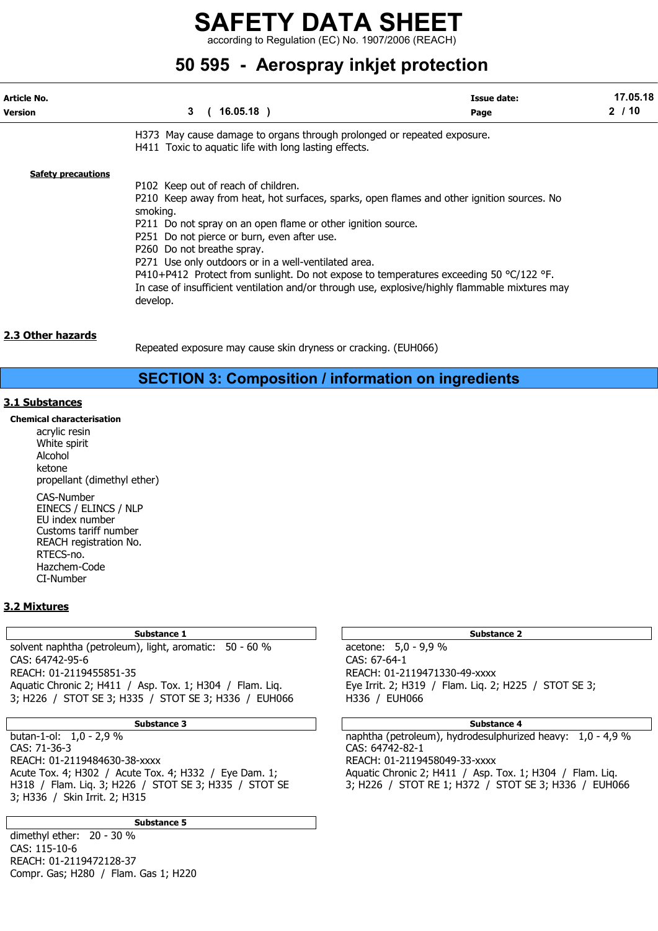according to Regulation (EC) No. 1907/2006 (REACH)

## 50 595 - Aerospray inkjet protection

| Article No.<br><b>Version</b> | 3<br>$16.05.18$ )                                                                                                                                                                                                                                                                                                                                                                                                                                                                                                                                                     | Issue date:<br>Page | 17.05.18<br>2/10 |
|-------------------------------|-----------------------------------------------------------------------------------------------------------------------------------------------------------------------------------------------------------------------------------------------------------------------------------------------------------------------------------------------------------------------------------------------------------------------------------------------------------------------------------------------------------------------------------------------------------------------|---------------------|------------------|
|                               | H373 May cause damage to organs through prolonged or repeated exposure.<br>H411 Toxic to aquatic life with long lasting effects.                                                                                                                                                                                                                                                                                                                                                                                                                                      |                     |                  |
| <b>Safety precautions</b>     | P102 Keep out of reach of children.<br>P210 Keep away from heat, hot surfaces, sparks, open flames and other ignition sources. No<br>smoking.<br>P211 Do not spray on an open flame or other ignition source.<br>P251 Do not pierce or burn, even after use.<br>P260 Do not breathe spray.<br>P271 Use only outdoors or in a well-ventilated area.<br>P410+P412 Protect from sunlight. Do not expose to temperatures exceeding 50 $^{\circ}$ C/122 °F.<br>In case of insufficient ventilation and/or through use, explosive/highly flammable mixtures may<br>develop. |                     |                  |

### 2.3 Other hazards

Repeated exposure may cause skin dryness or cracking. (EUH066)

## SECTION 3: Composition / information on ingredients

### 3.1 Substances

Chemical characterisation acrylic resin White spirit Alcohol ketone propellant (dimethyl ether) CAS-Number EINECS / ELINCS / NLP EU index number Customs tariff number REACH registration No. RTECS-no. Hazchem-Code CI-Number

### 3.2 Mixtures

Substance 1 Substance 2 Substance 2 Substance 2 Substance 2 Substance 2 Substance 2 solvent naphtha (petroleum), light, aromatic: 50 - 60 % acetone: 5,0 - 9,9 % CAS: 64742-95-6 CAS: 67-64-1 REACH: 01-2119455851-35 REACH: 01-2119471330-49-xxxx Aquatic Chronic 2; H411 / Asp. Tox. 1; H304 / Flam. Liq. Eye Irrit. 2; H319 / Flam. Liq. 2; H225 / STOT SE 3; 3; H226 / STOT SE 3; H335 / STOT SE 3; H336 / EUH066 H336 / EUH066

CAS: 71-36-3 CAS: 64742-82-1 REACH: 01-2119484630-38-xxxx REACH: 01-2119458049-33-xxxx Acute Tox. 4; H302 / Acute Tox. 4; H332 / Eye Dam. 1; Aquatic Chronic 2; H411 / Asp. Tox. 1; H304 / Flam. Liq. H318 / Flam. Liq. 3; H226 / STOT SE 3; H335 / STOT SE 3; H226 / STOT RE 1; H372 / STOT SE 3; H336 / EUH066 3; H336 / Skin Irrit. 2; H315

Substance 5

dimethyl ether: 20 - 30 % CAS: 115-10-6 REACH: 01-2119472128-37 Compr. Gas; H280 / Flam. Gas 1; H220

### Substance 3 Substance 4

butan-1-ol: 1,0 - 2,9 % naphtha (petroleum), hydrodesulphurized heavy: 1,0 - 4,9 %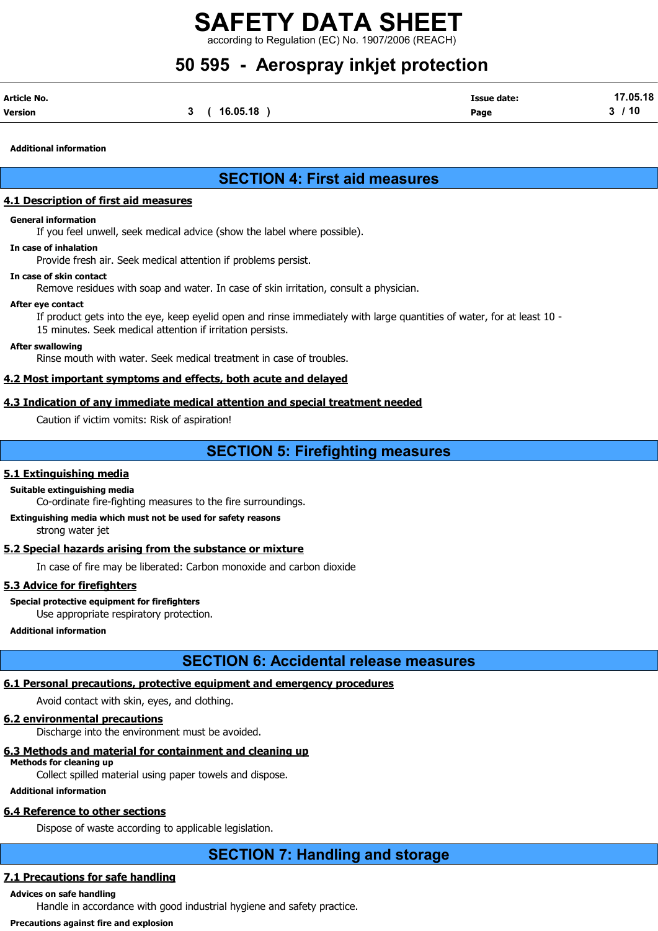$\lim$  to Regulation (EC) No. 1907/2006 (REACH)

## 50 595 - Aerospray inkjet protection

| Article No. |          | <b>Issue date:</b> | 17.05.18 |
|-------------|----------|--------------------|----------|
| Version     | 16.05.18 | Page               | ' 10     |

Additional information

## SECTION 4: First aid measures

### 4.1 Description of first aid measures

### General information

If you feel unwell, seek medical advice (show the label where possible).

### In case of inhalation

Provide fresh air. Seek medical attention if problems persist.

### In case of skin contact

Remove residues with soap and water. In case of skin irritation, consult a physician.

### After eye contact

If product gets into the eye, keep eyelid open and rinse immediately with large quantities of water, for at least 10 - 15 minutes. Seek medical attention if irritation persists.

### After swallowing

Rinse mouth with water. Seek medical treatment in case of troubles.

### 4.2 Most important symptoms and effects, both acute and delayed

### 4.3 Indication of any immediate medical attention and special treatment needed

Caution if victim vomits: Risk of aspiration!

## SECTION 5: Firefighting measures

### 5.1 Extinguishing media

Suitable extinguishing media

Co-ordinate fire-fighting measures to the fire surroundings.

Extinguishing media which must not be used for safety reasons strong water jet

### 5.2 Special hazards arising from the substance or mixture

In case of fire may be liberated: Carbon monoxide and carbon dioxide

### 5.3 Advice for firefighters

Special protective equipment for firefighters Use appropriate respiratory protection.

### Additional information

## SECTION 6: Accidental release measures

### 6.1 Personal precautions, protective equipment and emergency procedures

Avoid contact with skin, eyes, and clothing.

### 6.2 environmental precautions

Discharge into the environment must be avoided.

### 6.3 Methods and material for containment and cleaning up

Methods for cleaning up

Collect spilled material using paper towels and dispose.

### Additional information

## 6.4 Reference to other sections

Dispose of waste according to applicable legislation.

## SECTION 7: Handling and storage

### 7.1 Precautions for safe handling

## Advices on safe handling

Handle in accordance with good industrial hygiene and safety practice.

### Precautions against fire and explosion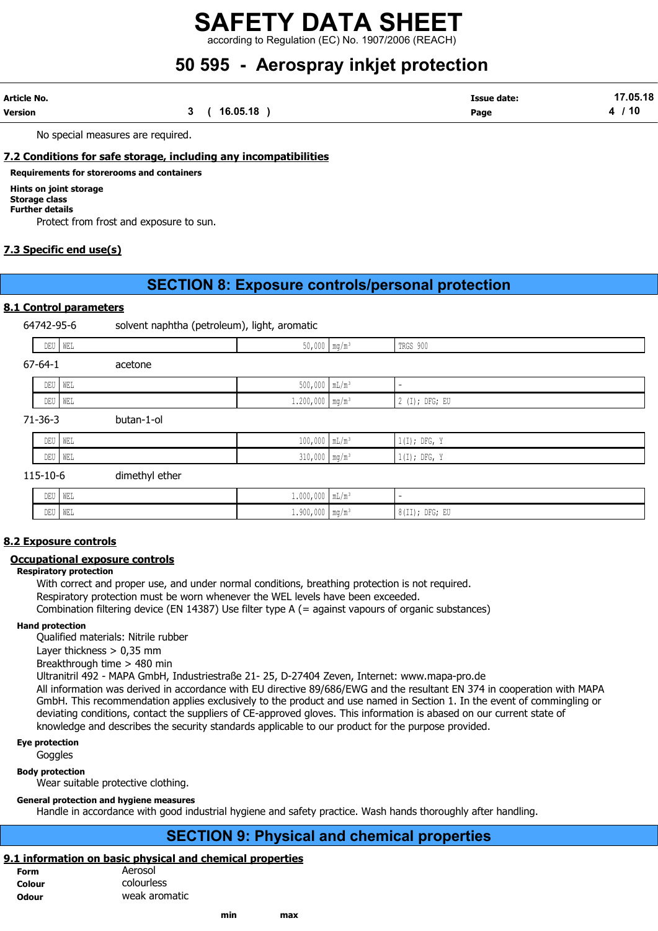according to Regulation (EC) No. 1907/2006 (REACH)

## 50 595 - Aerospray inkjet protection

| Article No. |          | <b>Issue date:</b> | 17.05.18 |
|-------------|----------|--------------------|----------|
| Version     | 16.05.18 | Page               | ้ 10     |

No special measures are required.

### 7.2 Conditions for safe storage, including any incompatibilities

### Requirements for storerooms and containers

Hints on joint storage

#### Storage class Further details

Protect from frost and exposure to sun.

### 7.3 Specific end use(s)

## SECTION 8: Exposure controls/personal protection

### 8.1 Control parameters

64742-95-6 solvent naphtha (petroleum), light, aromatic

| DEU   WEL     |                   | $50,000$ mg/m <sup>3</sup>    | TRGS 900                 |
|---------------|-------------------|-------------------------------|--------------------------|
| $67 - 64 - 1$ | acetone           |                               |                          |
| DEU   WEL     |                   | $500,000$ $mL/m^3$            | $\overline{\phantom{0}}$ |
| DEU   WEL     |                   | $1.200,000$ mg/m <sup>3</sup> | 2 (I); DFG; EU           |
| 71-36-3       | butan-1-ol        |                               |                          |
| DEU WEL       |                   | $100,000$ $mL/m^3$            | $1(I);$ DFG, Y           |
| DEU   WEL     |                   | $310,000$ mg/m <sup>3</sup>   | $1(I);$ DFG, Y           |
| 11510c        | اسمطةم اسطعممعنام |                               |                          |

### 115-10-6 dimethyl ether

| <b>DELL</b><br>טער | WEL | $1.000,000$   mL/m <sup>3</sup>   |                                                              |
|--------------------|-----|-----------------------------------|--------------------------------------------------------------|
| DEU                | WEL | -ann<br>$1.900,000$   mq/m $^{3}$ | $- - -$<br>D <sub>m</sub><br>$\sim$ $ -$<br>ר נפות<br>$01+1$ |

### 8.2 Exposure controls

### Occupational exposure controls

### Respiratory protection

With correct and proper use, and under normal conditions, breathing protection is not required. Respiratory protection must be worn whenever the WEL levels have been exceeded. Combination filtering device (EN 14387) Use filter type A (= against vapours of organic substances)

### Hand protection

Qualified materials: Nitrile rubber

Layer thickness > 0,35 mm

Breakthrough time > 480 min

Ultranitril 492 - MAPA GmbH, Industriestraße 21- 25, D-27404 Zeven, Internet: www.mapa-pro.de

All information was derived in accordance with EU directive 89/686/EWG and the resultant EN 374 in cooperation with MAPA GmbH. This recommendation applies exclusively to the product and use named in Section 1. In the event of commingling or deviating conditions, contact the suppliers of CE-approved gloves. This information is abased on our current state of knowledge and describes the security standards applicable to our product for the purpose provided.

Eye protection

## **Goggles**

Body protection Wear suitable protective clothing.

### General protection and hygiene measures

Handle in accordance with good industrial hygiene and safety practice. Wash hands thoroughly after handling.

## SECTION 9: Physical and chemical properties

### 9.1 information on basic physical and chemical properties

| <b>Form</b>  | Aerosol       |
|--------------|---------------|
| Colour       | colourless    |
| <b>Odour</b> | weak aromatic |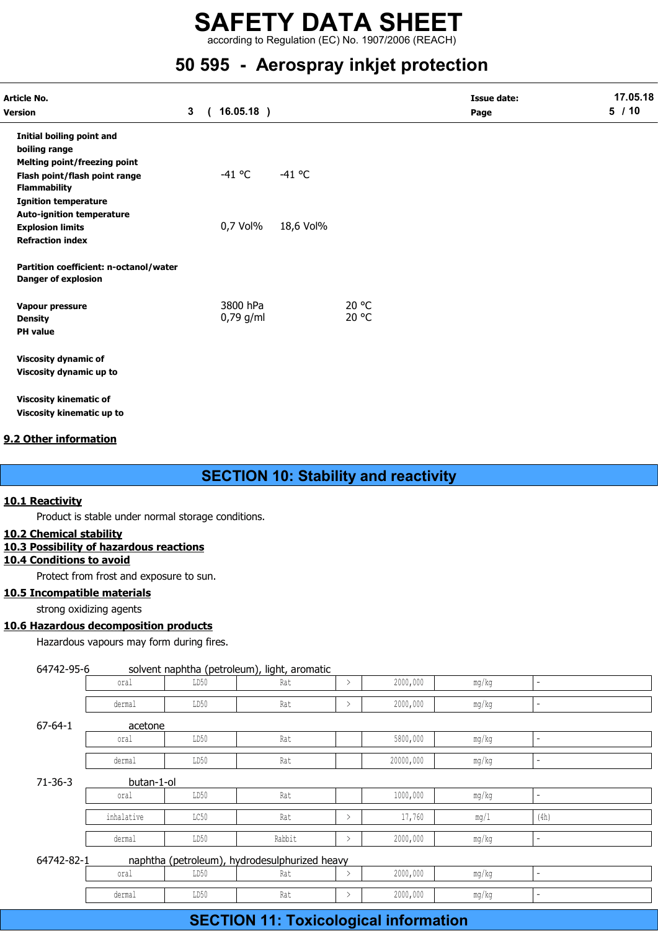according to Regulation (EC) No. 1907/2006 (REACH)

## 50 595 - Aerospray inkjet protection

| Article No.                            |                |            |              |           |       | <b>Issue date:</b> | 17.05.18 |
|----------------------------------------|----------------|------------|--------------|-----------|-------|--------------------|----------|
| Version                                | 3 <sup>1</sup> | $\sqrt{2}$ | $16.05.18$ ) |           |       | Page               | 5/10     |
| Initial boiling point and              |                |            |              |           |       |                    |          |
| boiling range                          |                |            |              |           |       |                    |          |
| <b>Melting point/freezing point</b>    |                |            |              |           |       |                    |          |
| Flash point/flash point range          |                |            | $-41$ °C     | $-41$ °C  |       |                    |          |
| <b>Flammability</b>                    |                |            |              |           |       |                    |          |
| <b>Ignition temperature</b>            |                |            |              |           |       |                    |          |
| <b>Auto-ignition temperature</b>       |                |            |              |           |       |                    |          |
| <b>Explosion limits</b>                |                |            | 0,7 Vol%     | 18,6 Vol% |       |                    |          |
| <b>Refraction index</b>                |                |            |              |           |       |                    |          |
| Partition coefficient: n-octanol/water |                |            |              |           |       |                    |          |
| <b>Danger of explosion</b>             |                |            |              |           |       |                    |          |
| Vapour pressure                        |                |            | 3800 hPa     |           | 20 °C |                    |          |
| <b>Density</b>                         |                |            | $0,79$ g/ml  |           | 20 °C |                    |          |
| <b>PH</b> value                        |                |            |              |           |       |                    |          |
| <b>Viscosity dynamic of</b>            |                |            |              |           |       |                    |          |
| Viscosity dynamic up to                |                |            |              |           |       |                    |          |
| <b>Viscosity kinematic of</b>          |                |            |              |           |       |                    |          |
| Viscosity kinematic up to              |                |            |              |           |       |                    |          |

### 9.2 Other information

## SECTION 10: Stability and reactivity

### 10.1 Reactivity

### 10.2 Chemical stability

### 10.3 Possibility of hazardous reactions

10.4 Conditions to avoid

### 10.5 Incompatible materials

### 10.6 Hazardous decomposition products

|                            |                                                                          |      | <b>SECTION 10: Stability and reactivity</b>   |               |           |       |                |  |
|----------------------------|--------------------------------------------------------------------------|------|-----------------------------------------------|---------------|-----------|-------|----------------|--|
| Reactivity                 |                                                                          |      |                                               |               |           |       |                |  |
|                            | Product is stable under normal storage conditions.                       |      |                                               |               |           |       |                |  |
| <b>Chemical stability</b>  |                                                                          |      |                                               |               |           |       |                |  |
|                            | <b>Possibility of hazardous reactions</b>                                |      |                                               |               |           |       |                |  |
| <b>Conditions to avoid</b> |                                                                          |      |                                               |               |           |       |                |  |
|                            | Protect from frost and exposure to sun.<br><b>Incompatible materials</b> |      |                                               |               |           |       |                |  |
|                            | strong oxidizing agents                                                  |      |                                               |               |           |       |                |  |
|                            | <b>Hazardous decomposition products</b>                                  |      |                                               |               |           |       |                |  |
|                            | Hazardous vapours may form during fires.                                 |      |                                               |               |           |       |                |  |
|                            |                                                                          |      |                                               |               |           |       |                |  |
| 64742-95-6                 |                                                                          |      | solvent naphtha (petroleum), light, aromatic  |               |           |       |                |  |
|                            | oral                                                                     | LD50 | Rat                                           | $\rightarrow$ | 2000,000  | mg/kg | ÷.             |  |
|                            | dermal                                                                   | LD50 | Rat                                           | $\rightarrow$ | 2000,000  | mg/kg | L.             |  |
| $67 - 64 - 1$              | acetone                                                                  |      |                                               |               |           |       |                |  |
|                            | oral                                                                     | LD50 | Rat                                           |               | 5800,000  | mg/kg | $\overline{a}$ |  |
|                            | dermal                                                                   | LD50 | Rat                                           |               | 20000,000 | mg/kg | ÷.             |  |
| $71 - 36 - 3$              | butan-1-ol                                                               |      |                                               |               |           |       |                |  |
|                            | oral                                                                     | LD50 | Rat                                           |               | 1000,000  | mg/kg | ÷.             |  |
|                            | inhalative                                                               | LC50 | Rat                                           | $\rightarrow$ | 17,760    | mg/1  | (4h)           |  |
|                            | dermal                                                                   | LD50 | Rabbit                                        | $\rightarrow$ | 2000,000  | mg/kg | ÷.             |  |
| 64742-82-1                 |                                                                          |      | naphtha (petroleum), hydrodesulphurized heavy |               |           |       |                |  |
|                            | oral                                                                     | LD50 | Rat                                           | $\rightarrow$ | 2000,000  | mg/kg | ÷.             |  |
|                            | dermal                                                                   | LD50 | Rat                                           | $\rightarrow$ | 2000,000  | mg/kg | $\overline{a}$ |  |
|                            |                                                                          |      | <b>SECTION 11: Toxicological information</b>  |               |           |       |                |  |
|                            |                                                                          |      |                                               |               |           |       |                |  |

## SECTION 11: Toxicological information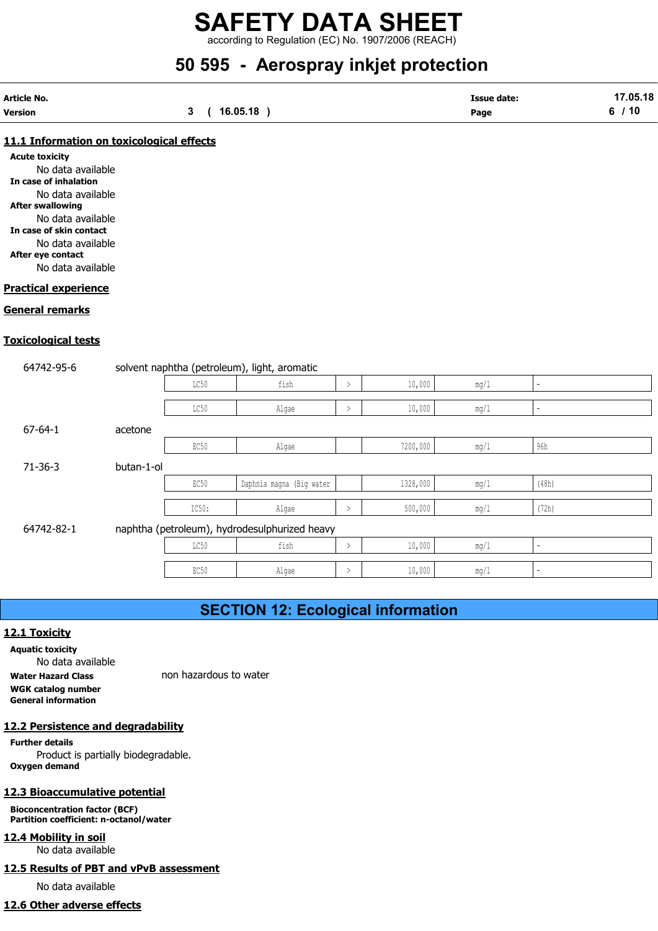according to Regulation (EC) No. 1907/2006 (REACH)

## 50 595 - Aerospray inkjet protection

| Article No.    |          | <b>Issue date:</b> | 17.05.18      |
|----------------|----------|--------------------|---------------|
| <b>Version</b> | 16.05.18 | Page               | $^{\circ}$ 10 |

### 11.1 Information on toxicological effects

Acute toxicity No data available In case of inhalation No data available After swallowing No data available In case of skin contact No data available After eye contact No data available

### Practical experience

### General remarks

### Toxicological tests

| 1.1 Information on toxicological effects                                                                                                                                                                                      |            |       |                                               |               |          |      |                          |  |
|-------------------------------------------------------------------------------------------------------------------------------------------------------------------------------------------------------------------------------|------------|-------|-----------------------------------------------|---------------|----------|------|--------------------------|--|
| cute toxicity<br>No data available<br>n case of inhalation<br>No data available<br><b>fter swallowing</b><br>No data available<br>n case of skin contact<br>No data available<br><b>fter eye contact</b><br>No data available |            |       |                                               |               |          |      |                          |  |
| actical experience                                                                                                                                                                                                            |            |       |                                               |               |          |      |                          |  |
| <b>eneral remarks</b>                                                                                                                                                                                                         |            |       |                                               |               |          |      |                          |  |
| xicological tests                                                                                                                                                                                                             |            |       |                                               |               |          |      |                          |  |
| 64742-95-6                                                                                                                                                                                                                    |            |       | solvent naphtha (petroleum), light, aromatic  |               |          |      |                          |  |
|                                                                                                                                                                                                                               |            | LC50  | fish                                          | $\rightarrow$ | 10,000   | mg/1 | $\overline{a}$           |  |
|                                                                                                                                                                                                                               |            | LC50  | Algae                                         | $\, > \,$     | 10,000   | mg/1 | $\overline{a}$           |  |
| $67 - 64 - 1$                                                                                                                                                                                                                 | acetone    |       |                                               |               |          |      |                          |  |
|                                                                                                                                                                                                                               |            | EC50  | Algae                                         |               | 7200,000 | mg/1 | 96h                      |  |
| $71 - 36 - 3$                                                                                                                                                                                                                 | butan-1-ol |       |                                               |               |          |      |                          |  |
|                                                                                                                                                                                                                               |            | EC50  | Daphnia magna (Big water                      |               | 1328,000 | mg/1 | (48h)                    |  |
|                                                                                                                                                                                                                               |            | IC50: | Algae                                         | $\rightarrow$ | 500,000  | mg/1 | (72h)                    |  |
| 64742-82-1                                                                                                                                                                                                                    |            |       | naphtha (petroleum), hydrodesulphurized heavy |               |          |      |                          |  |
|                                                                                                                                                                                                                               |            | LC50  | fish                                          | $\rightarrow$ | 10,000   | mg/1 | $\overline{\phantom{a}}$ |  |
|                                                                                                                                                                                                                               |            | EC50  | Algae                                         | $\, > \,$     | 10,000   | mg/1 | $\overline{a}$           |  |
|                                                                                                                                                                                                                               |            |       |                                               |               |          |      |                          |  |
|                                                                                                                                                                                                                               |            |       | <b>SECTION 12: Ecological information</b>     |               |          |      |                          |  |
| 2.1 Toxicity<br><b>quatic toxicity</b><br>No data available                                                                                                                                                                   |            |       |                                               |               |          |      |                          |  |

## SECTION 12: Ecological information

### 12.1 Toxicity

Aquatic toxicity No data available Water Hazard Class non hazardous to water WGK catalog number General information

### 12.2 Persistence and degradability

Further details Product is partially biodegradable. Oxygen demand

### 12.3 Bioaccumulative potential

Bioconcentration factor (BCF) Partition coefficient: n-octanol/water

### 12.4 Mobility in soil

No data available

### 12.5 Results of PBT and vPvB assessment

No data available

### 12.6 Other adverse effects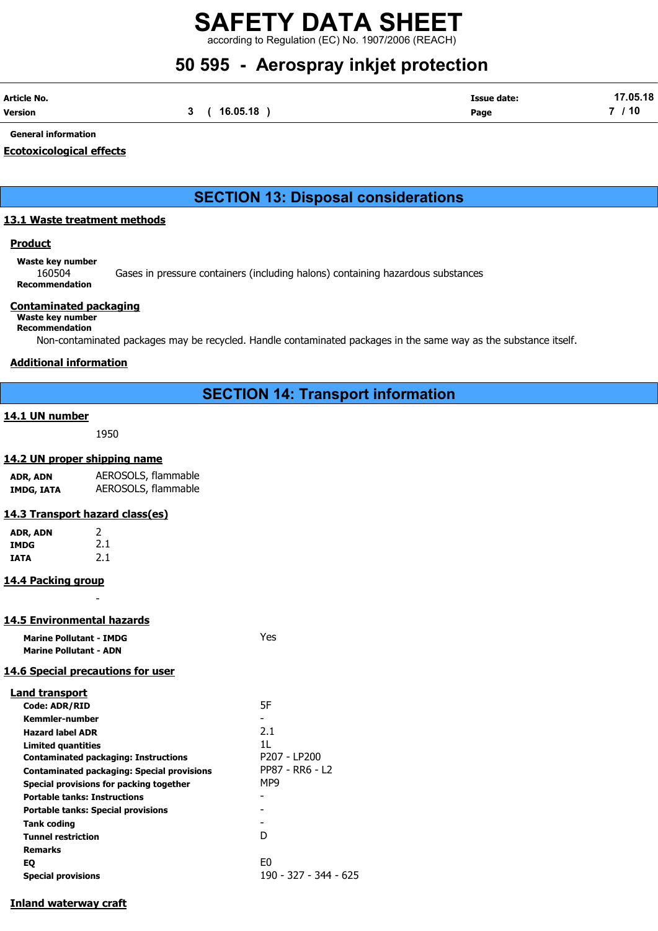according to Regulation (EC) No. 1907/2006 (REACH)

## 50 595 - Aerospray inkjet protection

| Article No. |              | <b>Issue date:</b> | 17.05.18 |
|-------------|--------------|--------------------|----------|
| Version     | 3 ( 16.05.18 | Page               | 7 / 10   |

General information

### Ecotoxicological effects

## SECTION 13: Disposal considerations

### 13.1 Waste treatment methods

### **Product**

Waste key number

160504 Gases in pressure containers (including halons) containing hazardous substances Recommendation

### Contaminated packaging

Waste key number Recommendation

Non-contaminated packages may be recycled. Handle contaminated packages in the same way as the substance itself.

### Additional information

### SECTION 14: Transport information

### 14.1 UN number

1950

### 14.2 UN proper shipping name

| ADR, ADN   | AEROSOLS, flammable |
|------------|---------------------|
| IMDG, IATA | AEROSOLS, flammable |

### 14.3 Transport hazard class(es)

| ADR, ADN    | 2   |
|-------------|-----|
| <b>IMDG</b> | 2.1 |
| IATA        | 2.1 |

### 14.4 Packing group

## -

14.5 Environmental hazards

Marine Pollutant - IMDG Yes Marine Pollutant - ADN

### 14.6 Special precautions for user

| <b>Land transport</b>                             |                       |
|---------------------------------------------------|-----------------------|
| <b>Code: ADR/RID</b>                              | 5F                    |
| Kemmler-number                                    |                       |
| <b>Hazard label ADR</b>                           | 2.1                   |
| Limited quantities                                | 11                    |
| <b>Contaminated packaging: Instructions</b>       | P207 - LP200          |
| <b>Contaminated packaging: Special provisions</b> | PP87 - RR6 - L2       |
| Special provisions for packing together           | MP9                   |
| <b>Portable tanks: Instructions</b>               |                       |
| <b>Portable tanks: Special provisions</b>         |                       |
| Tank coding                                       |                       |
| <b>Tunnel restriction</b>                         | D                     |
| Remarks                                           |                       |
| EQ                                                | E <sub>0</sub>        |
| <b>Special provisions</b>                         | 190 - 327 - 344 - 625 |
|                                                   |                       |

### Inland waterway craft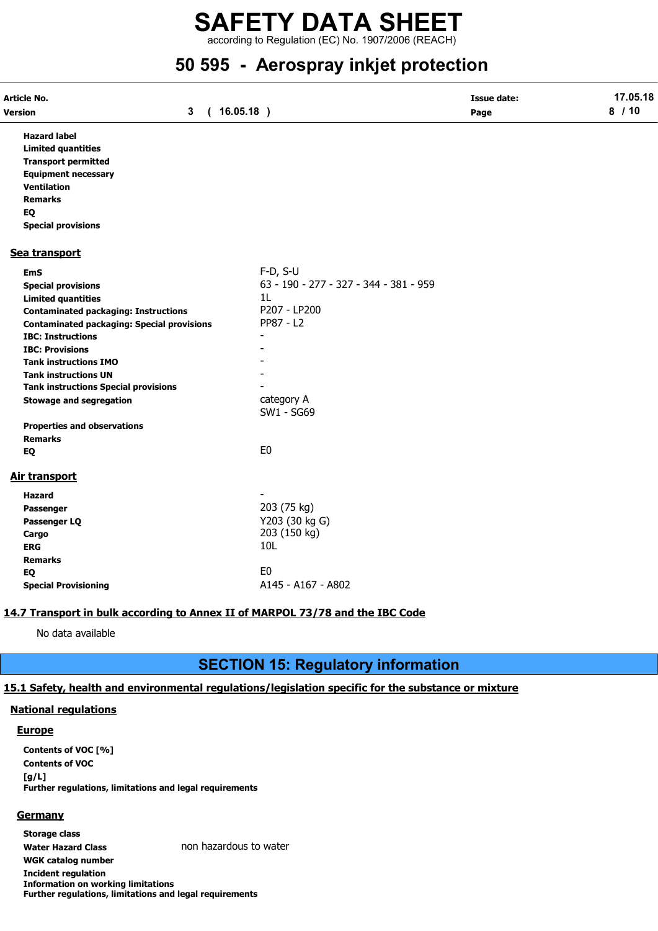according to Regulation (EC) No. 1907/2006 (REACH)

## 50 595 - Aerospray inkjet protection

| Article No.                                                                                                                                                                                                                                                                                                                                                                                                                                  |                            |                                                                                                                                       | <b>Issue date:</b> | 17.05.18 |
|----------------------------------------------------------------------------------------------------------------------------------------------------------------------------------------------------------------------------------------------------------------------------------------------------------------------------------------------------------------------------------------------------------------------------------------------|----------------------------|---------------------------------------------------------------------------------------------------------------------------------------|--------------------|----------|
| Version                                                                                                                                                                                                                                                                                                                                                                                                                                      | $\mathbf{3}$<br>$\sqrt{2}$ | $16.05.18$ )                                                                                                                          | Page               | 8/10     |
| <b>Hazard label</b><br><b>Limited quantities</b><br><b>Transport permitted</b><br><b>Equipment necessary</b><br><b>Ventilation</b><br><b>Remarks</b><br>EQ<br><b>Special provisions</b>                                                                                                                                                                                                                                                      |                            |                                                                                                                                       |                    |          |
| Sea transport                                                                                                                                                                                                                                                                                                                                                                                                                                |                            |                                                                                                                                       |                    |          |
| <b>EmS</b><br><b>Special provisions</b><br><b>Limited quantities</b><br><b>Contaminated packaging: Instructions</b><br><b>Contaminated packaging: Special provisions</b><br><b>IBC: Instructions</b><br><b>IBC: Provisions</b><br><b>Tank instructions IMO</b><br><b>Tank instructions UN</b><br><b>Tank instructions Special provisions</b><br><b>Stowage and segregation</b><br><b>Properties and observations</b><br><b>Remarks</b><br>EQ |                            | $F-D, S-U$<br>63 - 190 - 277 - 327 - 344 - 381 - 959<br>1L<br>P207 - LP200<br>PP87 - L2<br>category A<br>SW1 - SG69<br>E <sub>0</sub> |                    |          |
| Air transport                                                                                                                                                                                                                                                                                                                                                                                                                                |                            |                                                                                                                                       |                    |          |
| <b>Hazard</b><br>Passenger<br>Passenger LQ<br>Cargo<br><b>ERG</b><br><b>Remarks</b>                                                                                                                                                                                                                                                                                                                                                          |                            | 203 (75 kg)<br>Y203 (30 kg G)<br>203 (150 kg)<br>10L<br>E <sub>0</sub>                                                                |                    |          |
| EQ<br><b>Special Provisioning</b>                                                                                                                                                                                                                                                                                                                                                                                                            |                            | A145 - A167 - A802                                                                                                                    |                    |          |

### 14.7 Transport in bulk according to Annex II of MARPOL 73/78 and the IBC Code

No data available

## SECTION 15: Regulatory information

### 15.1 Safety, health and environmental regulations/legislation specific for the substance or mixture

### National regulations

### **Europe**

Contents of VOC [%] Contents of VOC [g/L] Further regulations, limitations and legal requirements

### **Germany**

Storage class Water Hazard Class non hazardous to water WGK catalog number Incident regulation Information on working limitations Further regulations, limitations and legal requirements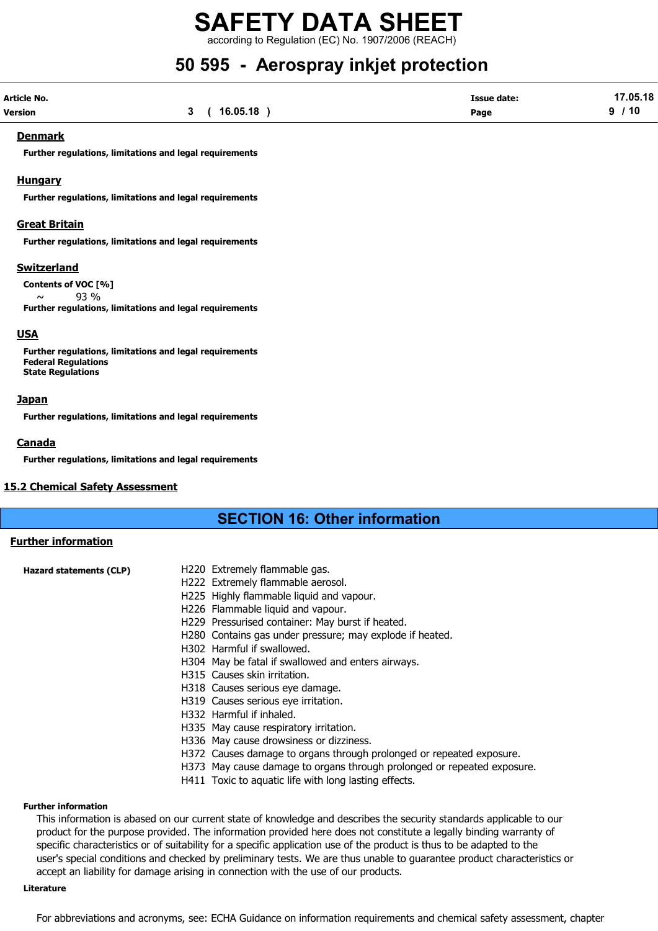according to Regulation (EC) No. 1907/2006 (REACH)

## 50 595 - Aerospray inkjet protection

| Article No.    |             | <b>Issue date:</b> | 17.05.18 |
|----------------|-------------|--------------------|----------|
| <b>Version</b> | 3(16.05.18) | Page               | 9/10     |

### Denmark

Further regulations, limitations and legal requirements

### Hungary

Further regulations, limitations and legal requirements

### Great Britain

Further regulations, limitations and legal requirements

### Switzerland

Contents of VOC [%]  $\sim$  93 % Further regulations, limitations and legal requirements

### USA

Further regulations, limitations and legal requirements Federal Regulations State Regulations

#### **Japan**

Further regulations, limitations and legal requirements

### Canada

Further regulations, limitations and legal requirements

### 15.2 Chemical Safety Assessment

### SECTION 16: Other information

### Further information

| Hazard statements (CLP) | H220 Extremely flammable gas.                                        |
|-------------------------|----------------------------------------------------------------------|
|                         | H222 Extremely flammable aerosol.                                    |
|                         | H225 Highly flammable liquid and vapour.                             |
|                         | H226 Flammable liquid and vapour.                                    |
|                         | H229 Pressurised container: May burst if heated.                     |
|                         | H280 Contains gas under pressure; may explode if heated.             |
|                         | H302 Harmful if swallowed.                                           |
|                         | H304 May be fatal if swallowed and enters airways.                   |
|                         | H315 Causes skin irritation.                                         |
|                         | H318 Causes serious eye damage.                                      |
|                         | H319 Causes serious eye irritation.                                  |
|                         | H332 Harmful if inhaled.                                             |
|                         | H335 May cause respiratory irritation.                               |
|                         | H336 May cause drowsiness or dizziness.                              |
|                         | H372 Causes damage to organs through prolonged or repeated exposure. |
|                         |                                                                      |

- H373 May cause damage to organs through prolonged or repeated exposure.
- H411 Toxic to aquatic life with long lasting effects.

#### Further information

This information is abased on our current state of knowledge and describes the security standards applicable to our product for the purpose provided. The information provided here does not constitute a legally binding warranty of specific characteristics or of suitability for a specific application use of the product is thus to be adapted to the user's special conditions and checked by preliminary tests. We are thus unable to guarantee product characteristics or accept an liability for damage arising in connection with the use of our products.

### Literature

For abbreviations and acronyms, see: ECHA Guidance on information requirements and chemical safety assessment, chapter